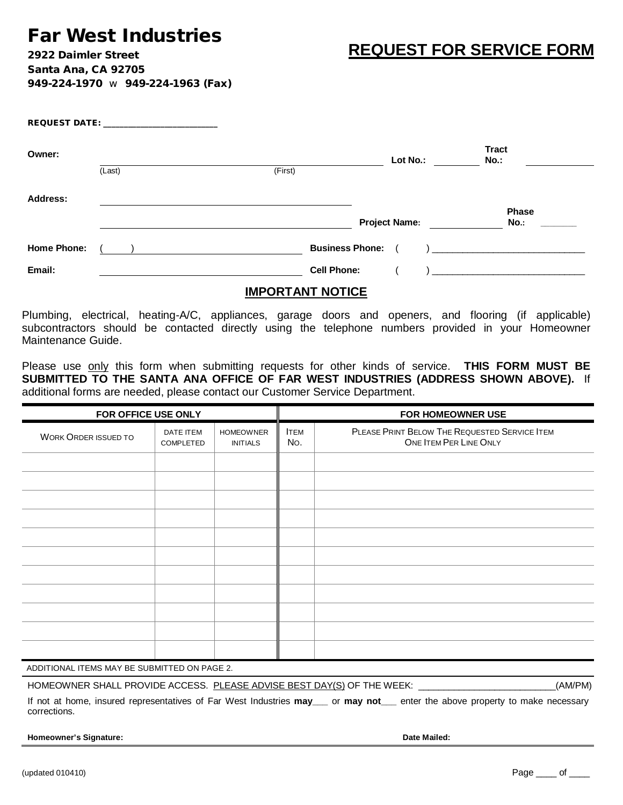## **Far West Industries**

**REQUEST FOR SERVICE FORM**

**2922 Daimler Street Santa Ana, CA 92705 949-224-1970** w **949-224-1963 (Fax)** 

|                    | REQUEST DATE: A PARTICULAR CONTROLLER CONTROLLER CONTROLLER CONTROLLER CONTROLLER CONTROLLER CONTROLLER CONTROLLER CONTROLLER CONTROLLER CONTROLLER CONTROLLER CONTROLLER CONTROLLER CONTROLLER CONTROLLER CONTROLLER CONTROLL |                        |                      |                                                                                                                                                                                                                                                                                                                                                                                             |
|--------------------|--------------------------------------------------------------------------------------------------------------------------------------------------------------------------------------------------------------------------------|------------------------|----------------------|---------------------------------------------------------------------------------------------------------------------------------------------------------------------------------------------------------------------------------------------------------------------------------------------------------------------------------------------------------------------------------------------|
| Owner:             |                                                                                                                                                                                                                                |                        | Lot No.:             | <b>Tract</b><br>No.:                                                                                                                                                                                                                                                                                                                                                                        |
|                    | (Last)                                                                                                                                                                                                                         | (First)                |                      |                                                                                                                                                                                                                                                                                                                                                                                             |
| <b>Address:</b>    |                                                                                                                                                                                                                                |                        |                      | <b>Phase</b>                                                                                                                                                                                                                                                                                                                                                                                |
|                    |                                                                                                                                                                                                                                |                        | <b>Project Name:</b> | No.:                                                                                                                                                                                                                                                                                                                                                                                        |
| <b>Home Phone:</b> |                                                                                                                                                                                                                                | <b>Business Phone:</b> |                      | $\begin{picture}(20,10) \put(0,0){\dashbox{0.5}(10,0){ }} \put(15,0){\circle{10}} \put(15,0){\circle{10}} \put(15,0){\circle{10}} \put(15,0){\circle{10}} \put(15,0){\circle{10}} \put(15,0){\circle{10}} \put(15,0){\circle{10}} \put(15,0){\circle{10}} \put(15,0){\circle{10}} \put(15,0){\circle{10}} \put(15,0){\circle{10}} \put(15,0){\circle{10}} \put(15,0){\circle{10}} \put(15,$ |
| Email:             |                                                                                                                                                                                                                                | <b>Cell Phone:</b>     |                      |                                                                                                                                                                                                                                                                                                                                                                                             |

## **IMPORTANT NOTICE**

Plumbing, electrical, heating-A/C, appliances, garage doors and openers, and flooring (if applicable) subcontractors should be contacted directly using the telephone numbers provided in your Homeowner Maintenance Guide.

Please use only this form when submitting requests for other kinds of service. **THIS FORM MUST BE SUBMITTED TO THE SANTA ANA OFFICE OF FAR WEST INDUSTRIES (ADDRESS SHOWN ABOVE).** If additional forms are needed, please contact our Customer Service Department.

| FOR HOMEOWNER USE |  |  |  |
|-------------------|--|--|--|
|                   |  |  |  |
|                   |  |  |  |
|                   |  |  |  |
|                   |  |  |  |
|                   |  |  |  |
|                   |  |  |  |
|                   |  |  |  |
|                   |  |  |  |
|                   |  |  |  |
|                   |  |  |  |
|                   |  |  |  |
|                   |  |  |  |
|                   |  |  |  |

ADDITIONAL ITEMS MAY BE SUBMITTED ON PAGE 2.

HOMEOWNER SHALL PROVIDE ACCESS. PLEASE ADVISE BEST DAY(S) OF THE WEEK: \_\_\_\_\_\_\_\_\_\_\_\_\_\_\_\_\_\_\_\_\_\_\_\_\_\_\_\_(AM/PM)

If not at home, insured representatives of Far West Industries **may\_\_\_** or **may not\_\_\_** enter the above property to make necessary corrections.

**Homeowner's Signature: Date Mailed:**